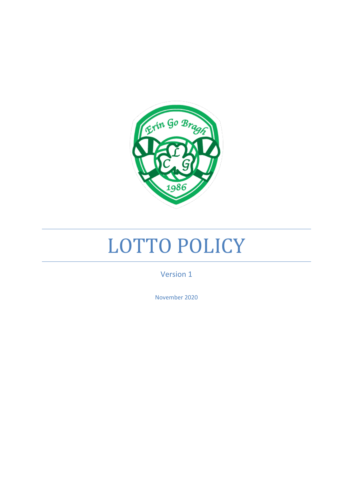

# LOTTO POLICY

Version 1

November 2020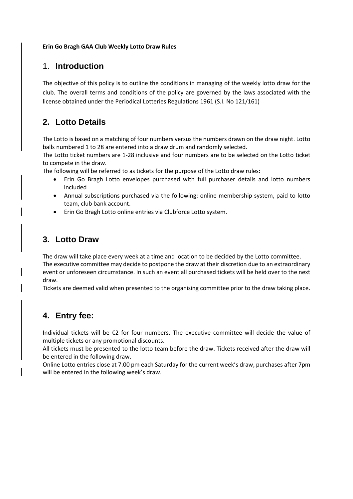#### **Erin Go Bragh GAA Club Weekly Lotto Draw Rules**

#### 1. **Introduction**

The objective of this policy is to outline the conditions in managing of the weekly lotto draw for the club. The overall terms and conditions of the policy are governed by the laws associated with the license obtained under the Periodical Lotteries Regulations 1961 (S.I. No 121/161)

#### **2. Lotto Details**

The Lotto is based on a matching of four numbers versus the numbers drawn on the draw night. Lotto balls numbered 1 to 28 are entered into a draw drum and randomly selected.

The Lotto ticket numbers are 1-28 inclusive and four numbers are to be selected on the Lotto ticket to compete in the draw.

The following will be referred to as tickets for the purpose of the Lotto draw rules:

- Erin Go Bragh Lotto envelopes purchased with full purchaser details and lotto numbers included
- Annual subscriptions purchased via the following: online membership system, paid to lotto team, club bank account.
- Erin Go Bragh Lotto online entries via Clubforce Lotto system.

#### **3. Lotto Draw**

The draw will take place every week at a time and location to be decided by the Lotto committee. The executive committee may decide to postpone the draw at their discretion due to an extraordinary event or unforeseen circumstance. In such an event all purchased tickets will be held over to the next draw.

Tickets are deemed valid when presented to the organising committee prior to the draw taking place.

#### **4. Entry fee:**

Individual tickets will be €2 for four numbers. The executive committee will decide the value of multiple tickets or any promotional discounts.

All tickets must be presented to the lotto team before the draw. Tickets received after the draw will be entered in the following draw.

Online Lotto entries close at 7.00 pm each Saturday for the current week's draw, purchases after 7pm will be entered in the following week's draw.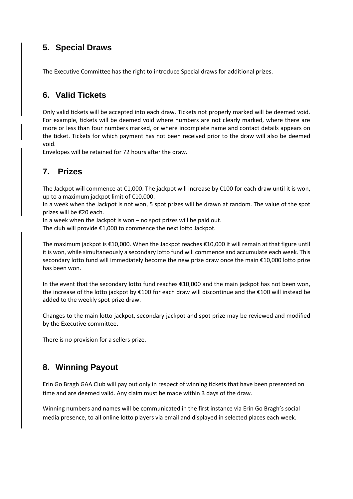### **5. Special Draws**

The Executive Committee has the right to introduce Special draws for additional prizes.

#### **6. Valid Tickets**

Only valid tickets will be accepted into each draw. Tickets not properly marked will be deemed void. For example, tickets will be deemed void where numbers are not clearly marked, where there are more or less than four numbers marked, or where incomplete name and contact details appears on the ticket. Tickets for which payment has not been received prior to the draw will also be deemed void.

Envelopes will be retained for 72 hours after the draw.

#### **7. Prizes**

The Jackpot will commence at €1,000. The jackpot will increase by €100 for each draw until it is won, up to a maximum jackpot limit of €10,000.

In a week when the Jackpot is not won, 5 spot prizes will be drawn at random. The value of the spot prizes will be €20 each.

In a week when the Jackpot is won – no spot prizes will be paid out.

The club will provide €1,000 to commence the next lotto Jackpot.

The maximum jackpot is €10,000. When the Jackpot reaches €10,000 it will remain at that figure until it is won, while simultaneously a secondary lotto fund will commence and accumulate each week. This secondary lotto fund will immediately become the new prize draw once the main €10,000 lotto prize has been won.

In the event that the secondary lotto fund reaches €10,000 and the main jackpot has not been won, the increase of the lotto jackpot by €100 for each draw will discontinue and the €100 will instead be added to the weekly spot prize draw.

Changes to the main lotto jackpot, secondary jackpot and spot prize may be reviewed and modified by the Executive committee.

There is no provision for a sellers prize.

#### **8. Winning Payout**

Erin Go Bragh GAA Club will pay out only in respect of winning tickets that have been presented on time and are deemed valid. Any claim must be made within 3 days of the draw.

Winning numbers and names will be communicated in the first instance via Erin Go Bragh's social media presence, to all online lotto players via email and displayed in selected places each week.